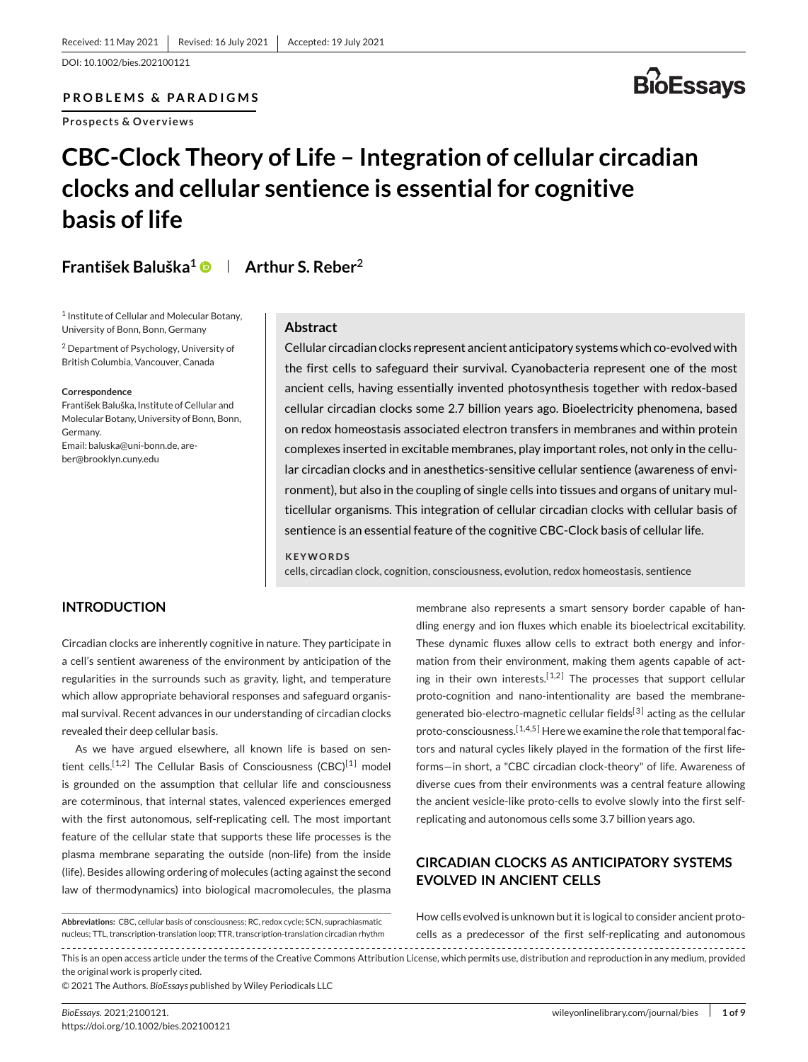DOI: 10.1002/bies.202100121

**PROBLEMS & PARADIGMS**

**Prospects & Overviews**



## **CBC-Clock Theory of Life – Integration of cellular circadian clocks and cellular sentience is essential for cognitive basis of life**

**František Baluška1 Arthur S. Reber2**

<sup>1</sup> Institute of Cellular and Molecular Botany, University of Bonn, Bonn, Germany

<sup>2</sup> Department of Psychology, University of British Columbia, Vancouver, Canada

**Correspondence**

František Baluška, Institute of Cellular and Molecular Botany, University of Bonn, Bonn, Germany. Email[: baluska@uni-bonn.de,](mailto:baluska@uni-bonn.de) [are](mailto:areber@brooklyn.cuny.edu)[ber@brooklyn.cuny.edu](mailto:areber@brooklyn.cuny.edu)

## **Abstract**

Cellular circadian clocks represent ancient anticipatory systems which co-evolved with the first cells to safeguard their survival. Cyanobacteria represent one of the most ancient cells, having essentially invented photosynthesis together with redox-based cellular circadian clocks some 2.7 billion years ago. Bioelectricity phenomena, based on redox homeostasis associated electron transfers in membranes and within protein complexes inserted in excitable membranes, play important roles, not only in the cellular circadian clocks and in anesthetics-sensitive cellular sentience (awareness of environment), but also in the coupling of single cells into tissues and organs of unitary multicellular organisms. This integration of cellular circadian clocks with cellular basis of sentience is an essential feature of the cognitive CBC-Clock basis of cellular life.

#### **KEYWORDS**

cells, circadian clock, cognition, consciousness, evolution, redox homeostasis, sentience

## **INTRODUCTION**

Circadian clocks are inherently cognitive in nature. They participate in a cell's sentient awareness of the environment by anticipation of the regularities in the surrounds such as gravity, light, and temperature which allow appropriate behavioral responses and safeguard organismal survival. Recent advances in our understanding of circadian clocks revealed their deep cellular basis.

As we have argued elsewhere, all known life is based on sen-tient cells.<sup>[1,2]</sup> The Cellular Basis of Consciousness (CBC)<sup>[\[1\]](#page-5-0)</sup> model is grounded on the assumption that cellular life and consciousness are coterminous, that internal states, valenced experiences emerged with the first autonomous, self-replicating cell. The most important feature of the cellular state that supports these life processes is the plasma membrane separating the outside (non-life) from the inside (life). Besides allowing ordering of molecules (acting against the second law of thermodynamics) into biological macromolecules, the plasma

**Abbreviations:** CBC, cellular basis of consciousness; RC, redox cycle; SCN, suprachiasmatic nucleus; TTL, transcription-translation loop; TTR, transcription-translation circadian rhythm

membrane also represents a smart sensory border capable of handling energy and ion fluxes which enable its bioelectrical excitability. These dynamic fluxes allow cells to extract both energy and information from their environment, making them agents capable of acting in their own interests.<sup>[1,2]</sup> The processes that support cellular proto-cognition and nano-intentionality are based the membrane-generated bio-electro-magnetic cellular fields<sup>[\[3\]](#page-5-0)</sup> acting as the cellular proto-consciousness.<sup>[1,4,5]</sup> Here we examine the role that temporal factors and natural cycles likely played in the formation of the first lifeforms—in short, a "CBC circadian clock-theory" of life. Awareness of diverse cues from their environments was a central feature allowing the ancient vesicle-like proto-cells to evolve slowly into the first selfreplicating and autonomous cells some 3.7 billion years ago.

## **CIRCADIAN CLOCKS AS ANTICIPATORY SYSTEMS EVOLVED IN ANCIENT CELLS**

How cells evolved is unknown but it is logical to consider ancient protocells as a predecessor of the first self-replicating and autonomous

This is an open access article under the terms of the [Creative Commons Attribution](http://creativecommons.org/licenses/by/4.0/) License, which permits use, distribution and reproduction in any medium, provided the original work is properly cited.

© 2021 The Authors. *BioEssays* published by Wiley Periodicals LLC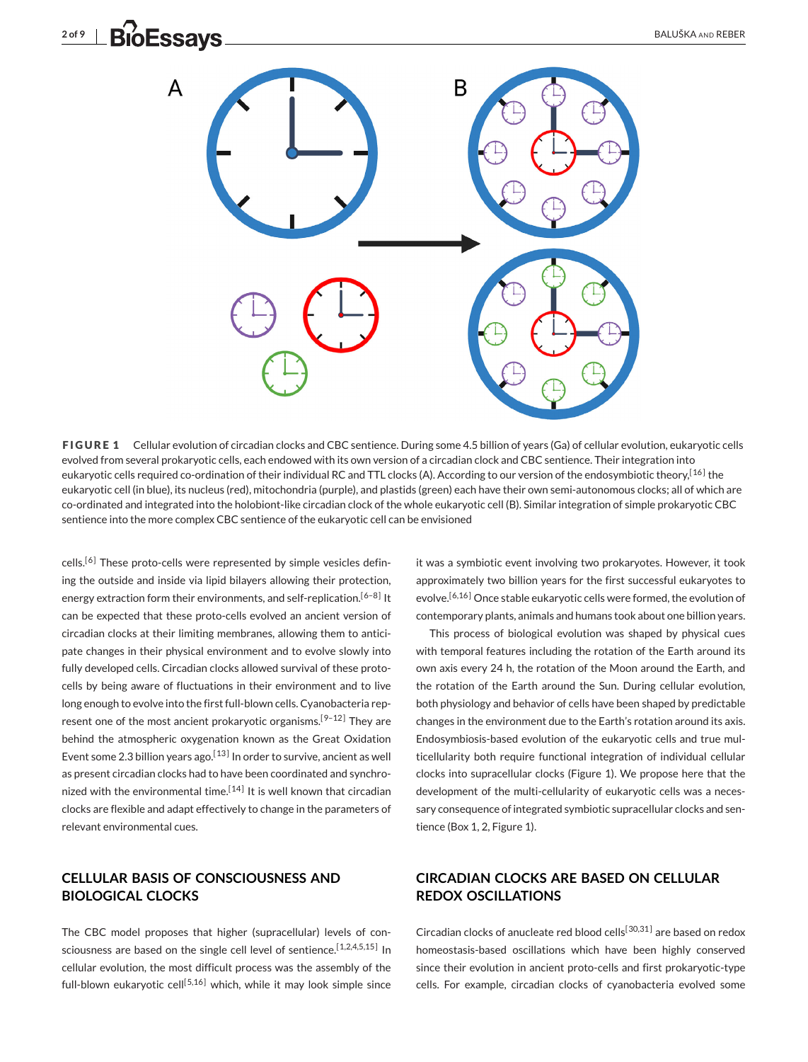<span id="page-1-0"></span>

**FIGURE 1** Cellular evolution of circadian clocks and CBC sentience. During some 4.5 billion of years (Ga) of cellular evolution, eukaryotic cells evolved from several prokaryotic cells, each endowed with its own version of a circadian clock and CBC sentience. Their integration into eukaryotic cells required co-ordination of their individual RC and TTL clocks (A). According to our version of the endosymbiotic theory,<sup>[16]</sup> the eukaryotic cell (in blue), its nucleus (red), mitochondria (purple), and plastids (green) each have their own semi-autonomous clocks; all of which are co-ordinated and integrated into the holobiont-like circadian clock of the whole eukaryotic cell (B). Similar integration of simple prokaryotic CBC sentience into the more complex CBC sentience of the eukaryotic cell can be envisioned

 $cells<sub>1</sub>$ <sup>[\[6\]](#page-5-0)</sup> These proto-cells were represented by simple vesicles defining the outside and inside via lipid bilayers allowing their protection, energy extraction form their environments, and self-replication.<sup>[6-8]</sup> It can be expected that these proto-cells evolved an ancient version of circadian clocks at their limiting membranes, allowing them to anticipate changes in their physical environment and to evolve slowly into fully developed cells. Circadian clocks allowed survival of these protocells by being aware of fluctuations in their environment and to live long enough to evolve into the first full-blown cells. Cyanobacteria represent one of the most ancient prokaryotic organisms.<sup>[9-12]</sup> They are behind the atmospheric oxygenation known as the Great Oxidation Event some 2.3 billion years ago.<sup>[13]</sup> In order to survive, ancient as well as present circadian clocks had to have been coordinated and synchronized with the environmental time.<sup>[14]</sup> It is well known that circadian clocks are flexible and adapt effectively to change in the parameters of relevant environmental cues.

## **CELLULAR BASIS OF CONSCIOUSNESS AND BIOLOGICAL CLOCKS**

The CBC model proposes that higher (supracellular) levels of consciousness are based on the single cell level of sentience.<sup>[1,2,4,5,15]</sup> In cellular evolution, the most difficult process was the assembly of the full-blown eukaryotic cell<sup>[5,16]</sup> which, while it may look simple since

it was a symbiotic event involving two prokaryotes. However, it took approximately two billion years for the first successful eukaryotes to evolve.<sup>[6,16]</sup> Once stable eukaryotic cells were formed, the evolution of contemporary plants, animals and humans took about one billion years.

This process of biological evolution was shaped by physical cues with temporal features including the rotation of the Earth around its own axis every 24 h, the rotation of the Moon around the Earth, and the rotation of the Earth around the Sun. During cellular evolution, both physiology and behavior of cells have been shaped by predictable changes in the environment due to the Earth's rotation around its axis. Endosymbiosis-based evolution of the eukaryotic cells and true multicellularity both require functional integration of individual cellular clocks into supracellular clocks (Figure 1). We propose here that the development of the multi-cellularity of eukaryotic cells was a necessary consequence of integrated symbiotic supracellular clocks and sentience (Box 1, 2, Figure 1).

## **CIRCADIAN CLOCKS ARE BASED ON CELLULAR REDOX OSCILLATIONS**

Circadian clocks of anucleate red blood cells<sup>[30,31]</sup> are based on redox homeostasis-based oscillations which have been highly conserved since their evolution in ancient proto-cells and first prokaryotic-type cells. For example, circadian clocks of cyanobacteria evolved some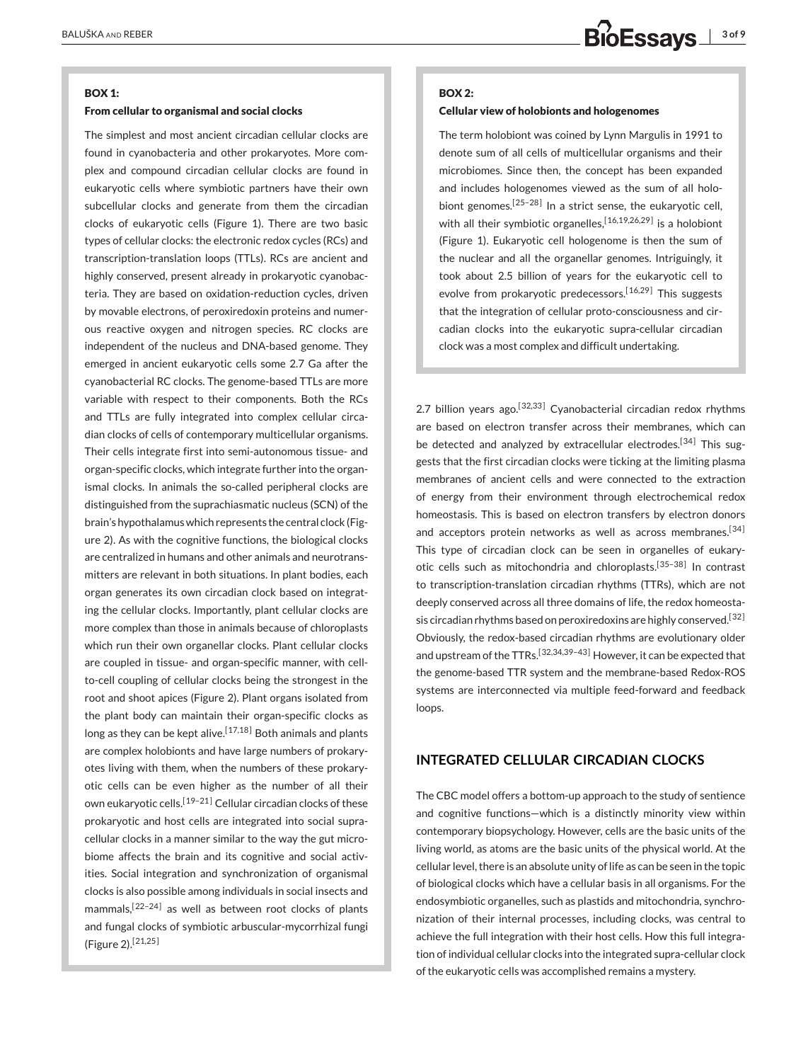#### **BOX 1:**

#### **From cellular to organismal and social clocks**

The simplest and most ancient circadian cellular clocks are found in cyanobacteria and other prokaryotes. More complex and compound circadian cellular clocks are found in eukaryotic cells where symbiotic partners have their own subcellular clocks and generate from them the circadian clocks of eukaryotic cells (Figure [1\)](#page-1-0). There are two basic types of cellular clocks: the electronic redox cycles (RCs) and transcription-translation loops (TTLs). RCs are ancient and highly conserved, present already in prokaryotic cyanobacteria. They are based on oxidation-reduction cycles, driven by movable electrons, of peroxiredoxin proteins and numerous reactive oxygen and nitrogen species. RC clocks are independent of the nucleus and DNA-based genome. They emerged in ancient eukaryotic cells some 2.7 Ga after the cyanobacterial RC clocks. The genome-based TTLs are more variable with respect to their components. Both the RCs and TTLs are fully integrated into complex cellular circadian clocks of cells of contemporary multicellular organisms. Their cells integrate first into semi-autonomous tissue- and organ-specific clocks, which integrate further into the organismal clocks. In animals the so-called peripheral clocks are distinguished from the suprachiasmatic nucleus (SCN) of the brain's hypothalamus which represents the central clock (Figure [2\)](#page-3-0). As with the cognitive functions, the biological clocks are centralized in humans and other animals and neurotransmitters are relevant in both situations. In plant bodies, each organ generates its own circadian clock based on integrating the cellular clocks. Importantly, plant cellular clocks are more complex than those in animals because of chloroplasts which run their own organellar clocks. Plant cellular clocks are coupled in tissue- and organ-specific manner, with cellto-cell coupling of cellular clocks being the strongest in the root and shoot apices (Figure [2\)](#page-3-0). Plant organs isolated from the plant body can maintain their organ-specific clocks as long as they can be kept alive.<sup>[17,18]</sup> Both animals and plants are complex holobionts and have large numbers of prokaryotes living with them, when the numbers of these prokaryotic cells can be even higher as the number of all their own eukaryotic cells.<sup>[19-21]</sup> Cellular circadian clocks of these prokaryotic and host cells are integrated into social supracellular clocks in a manner similar to the way the gut microbiome affects the brain and its cognitive and social activities. Social integration and synchronization of organismal clocks is also possible among individuals in social insects and mammals,  $[22-24]$  as well as between root clocks of plants and fungal clocks of symbiotic arbuscular-mycorrhizal fungi (Figure [2\)](#page-3-0).[\[21,25 \]](#page-5-0)

#### **BOX 2:**

#### **Cellular view of holobionts and hologenomes**

The term holobiont was coined by Lynn Margulis in 1991 to denote sum of all cells of multicellular organisms and their microbiomes. Since then, the concept has been expanded and includes hologenomes viewed as the sum of all holobiont genomes.<sup>[25-28]</sup> In a strict sense, the eukaryotic cell, with all their symbiotic organelles,<sup>[16,19,26,29]</sup> is a holobiont (Figure [1\)](#page-1-0). Eukaryotic cell hologenome is then the sum of the nuclear and all the organellar genomes. Intriguingly, it took about 2.5 billion of years for the eukaryotic cell to evolve from prokaryotic predecessors.<sup>[16,29]</sup> This suggests that the integration of cellular proto-consciousness and circadian clocks into the eukaryotic supra-cellular circadian clock was a most complex and difficult undertaking.

2.7 billion years ago.<sup>[32,33]</sup> Cyanobacterial circadian redox rhythms are based on electron transfer across their membranes, which can be detected and analyzed by extracellular electrodes.<sup>[34]</sup> This suggests that the first circadian clocks were ticking at the limiting plasma membranes of ancient cells and were connected to the extraction of energy from their environment through electrochemical redox homeostasis. This is based on electron transfers by electron donors and acceptors protein networks as well as across membranes.<sup>[34]</sup> This type of circadian clock can be seen in organelles of eukaryotic cells such as mitochondria and chloroplasts.<sup>[35-38]</sup> In contrast to transcription-translation circadian rhythms (TTRs), which are not deeply conserved across all three domains of life, the redox homeostasis circadian rhythms based on peroxiredoxins are highly conserved.<sup>[32]</sup> Obviously, the redox-based circadian rhythms are evolutionary older and upstream of the TTRs.<sup>[32,34,39-43]</sup> However, it can be expected that the genome-based TTR system and the membrane-based Redox-ROS systems are interconnected via multiple feed-forward and feedback loops.

## **INTEGRATED CELLULAR CIRCADIAN CLOCKS**

The CBC model offers a bottom-up approach to the study of sentience and cognitive functions—which is a distinctly minority view within contemporary biopsychology. However, cells are the basic units of the living world, as atoms are the basic units of the physical world. At the cellular level, there is an absolute unity of life as can be seen in the topic of biological clocks which have a cellular basis in all organisms. For the endosymbiotic organelles, such as plastids and mitochondria, synchronization of their internal processes, including clocks, was central to achieve the full integration with their host cells. How this full integration of individual cellular clocks into the integrated supra-cellular clock of the eukaryotic cells was accomplished remains a mystery.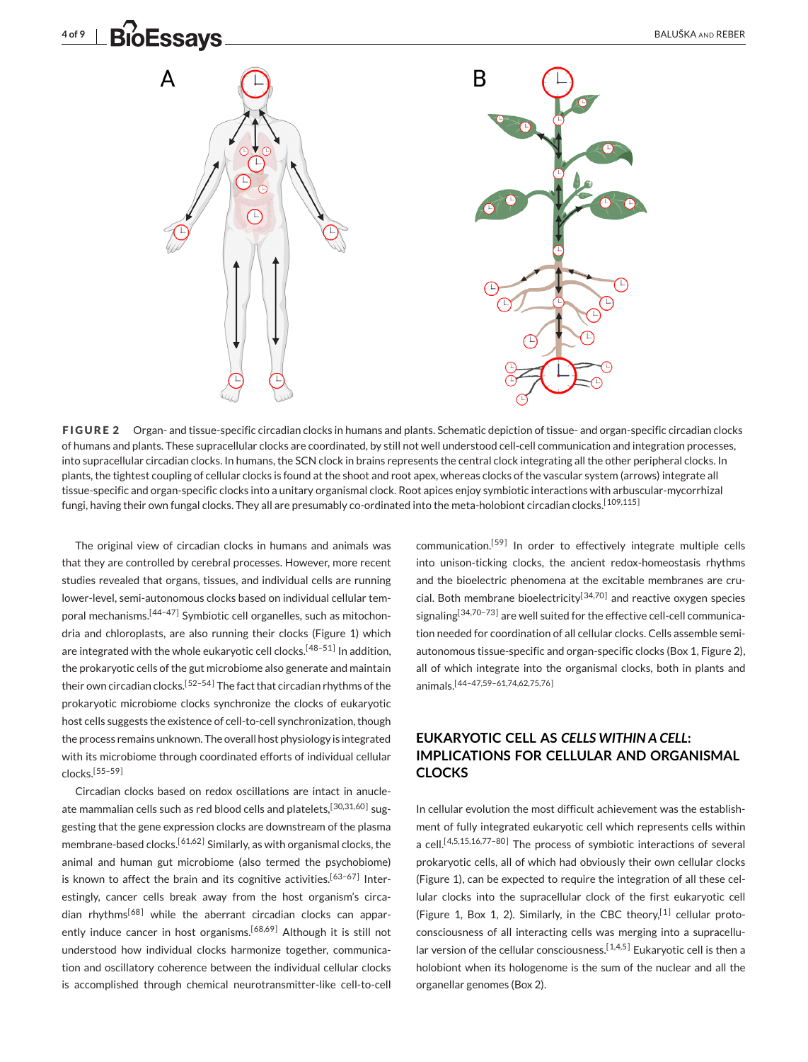<span id="page-3-0"></span>



**FIGURE 2** Organ- and tissue-specific circadian clocks in humans and plants. Schematic depiction of tissue- and organ-specific circadian clocks of humans and plants. These supracellular clocks are coordinated, by still not well understood cell-cell communication and integration processes, into supracellular circadian clocks. In humans, the SCN clock in brains represents the central clock integrating all the other peripheral clocks. In plants, the tightest coupling of cellular clocks is found at the shoot and root apex, whereas clocks of the vascular system (arrows) integrate all tissue-specific and organ-specific clocks into a unitary organismal clock. Root apices enjoy symbiotic interactions with arbuscular-mycorrhizal fungi, having their own fungal clocks. They all are presumably co-ordinated into the meta-holobiont circadian clocks.<sup>[109,115]</sup>

The original view of circadian clocks in humans and animals was that they are controlled by cerebral processes. However, more recent studies revealed that organs, tissues, and individual cells are running lower-level, semi-autonomous clocks based on individual cellular temporal mechanisms.<sup>[44-47]</sup> Symbiotic cell organelles, such as mitochondria and chloroplasts, are also running their clocks (Figure [1\)](#page-1-0) which are integrated with the whole eukaryotic cell clocks.<sup>[48-51]</sup> In addition, the prokaryotic cells of the gut microbiome also generate and maintain their own circadian clocks.<sup>[52-54]</sup> The fact that circadian rhythms of the prokaryotic microbiome clocks synchronize the clocks of eukaryotic host cells suggests the existence of cell-to-cell synchronization, though the process remains unknown. The overall host physiology is integrated with its microbiome through coordinated efforts of individual cellular clocks.[\[55–59 \]](#page-6-0)

Circadian clocks based on redox oscillations are intact in anucleate mammalian cells such as red blood cells and platelets, [30,31,60] suggesting that the gene expression clocks are downstream of the plasma membrane-based clocks.<sup>[61,62]</sup> Similarly, as with organismal clocks, the animal and human gut microbiome (also termed the psychobiome) is known to affect the brain and its cognitive activities.<sup>[63-67]</sup> Interestingly, cancer cells break away from the host organism's circa $d$ ian rhythms<sup>[68]</sup> while the aberrant circadian clocks can apparently induce cancer in host organisms.<sup>[68,69]</sup> Although it is still not understood how individual clocks harmonize together, communication and oscillatory coherence between the individual cellular clocks is accomplished through chemical neurotransmitter-like cell-to-cell communication.<sup>[59]</sup> In order to effectively integrate multiple cells into unison-ticking clocks, the ancient redox-homeostasis rhythms and the bioelectric phenomena at the excitable membranes are crucial. Both membrane bioelectricity<sup>[34,70]</sup> and reactive oxygen species signaling<sup>[34,70-73]</sup> are well suited for the effective cell-cell communication needed for coordination of all cellular clocks. Cells assemble semiautonomous tissue-specific and organ-specific clocks (Box 1, Figure 2), all of which integrate into the organismal clocks, both in plants and animals.[\[44–47,59–61,74,62,75,76 \]](#page-6-0)

## **EUKARYOTIC CELL AS** *CELLS WITHIN A CELL***: IMPLICATIONS FOR CELLULAR AND ORGANISMAL CLOCKS**

In cellular evolution the most difficult achievement was the establishment of fully integrated eukaryotic cell which represents cells within a cell.<sup>[4,5,15,16,77-80]</sup> The process of symbiotic interactions of several prokaryotic cells, all of which had obviously their own cellular clocks (Figure [1\)](#page-1-0), can be expected to require the integration of all these cellular clocks into the supracellular clock of the first eukaryotic cell (Figure [1,](#page-1-0) Box 1, 2). Similarly, in the CBC theory,<sup>[\[1\]](#page-5-0)</sup> cellular protoconsciousness of all interacting cells was merging into a supracellular version of the cellular consciousness.<sup>[1,4,5]</sup> Eukaryotic cell is then a holobiont when its hologenome is the sum of the nuclear and all the organellar genomes (Box 2).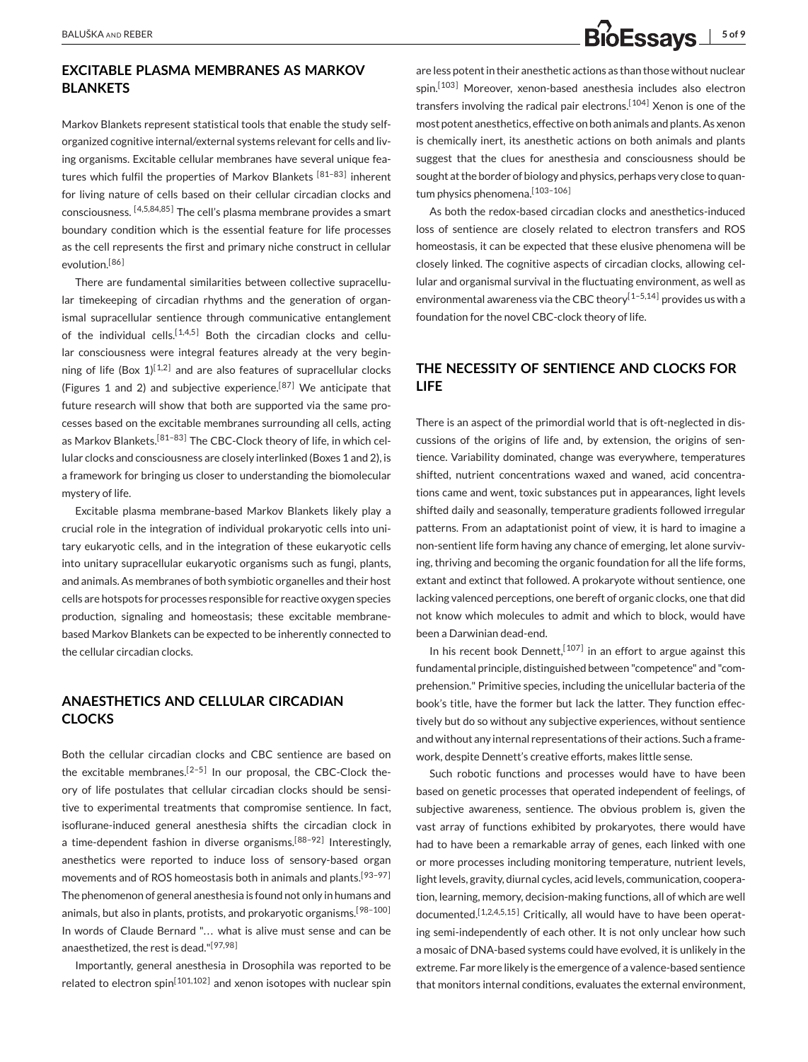## **EXCITABLE PLASMA MEMBRANES AS MARKOV BLANKETS**

Markov Blankets represent statistical tools that enable the study selforganized cognitive internal/external systems relevant for cells and living organisms. Excitable cellular membranes have several unique features which fulfil the properties of Markov Blankets [81-83] inherent for living nature of cells based on their cellular circadian clocks and consciousness. [4,5,84,85] The cell's plasma membrane provides a smart boundary condition which is the essential feature for life processes as the cell represents the first and primary niche construct in cellular evolution.<sup>[86]</sup>

There are fundamental similarities between collective supracellular timekeeping of circadian rhythms and the generation of organismal supracellular sentience through communicative entanglement of the individual cells.<sup>[1,4,5]</sup> Both the circadian clocks and cellular consciousness were integral features already at the very beginning of life (Box  $1$ <sup>[1,2]</sup> and are also features of supracellular clocks (Figures [1](#page-1-0) and [2\)](#page-3-0) and subjective experience.<sup>[87]</sup> We anticipate that future research will show that both are supported via the same processes based on the excitable membranes surrounding all cells, acting as Markov Blankets.<sup>[81-83]</sup> The CBC-Clock theory of life, in which cellular clocks and consciousness are closely interlinked (Boxes 1 and 2), is a framework for bringing us closer to understanding the biomolecular mystery of life.

Excitable plasma membrane-based Markov Blankets likely play a crucial role in the integration of individual prokaryotic cells into unitary eukaryotic cells, and in the integration of these eukaryotic cells into unitary supracellular eukaryotic organisms such as fungi, plants, and animals. As membranes of both symbiotic organelles and their host cells are hotspots for processes responsible for reactive oxygen species production, signaling and homeostasis; these excitable membranebased Markov Blankets can be expected to be inherently connected to the cellular circadian clocks.

## **ANAESTHETICS AND CELLULAR CIRCADIAN CLOCKS**

Both the cellular circadian clocks and CBC sentience are based on the excitable membranes.<sup>[2–5]</sup> In our proposal, the CBC-Clock theory of life postulates that cellular circadian clocks should be sensitive to experimental treatments that compromise sentience. In fact, isoflurane-induced general anesthesia shifts the circadian clock in a time-dependent fashion in diverse organisms.<sup>[88–92]</sup> Interestingly, anesthetics were reported to induce loss of sensory-based organ movements and of ROS homeostasis both in animals and plants.<sup>[93-97]</sup> The phenomenon of general anesthesia is found not only in humans and animals, but also in plants, protists, and prokaryotic organisms.<sup>[98-100]</sup> In words of Claude Bernard "... what is alive must sense and can be anaesthetized, the rest is dead."<sup>[97,98]</sup>

Importantly, general anesthesia in Drosophila was reported to be related to electron spin<sup>[101,102]</sup> and xenon isotopes with nuclear spin

are less potent in their anesthetic actions as than those without nuclear spin.<sup>[103]</sup> Moreover, xenon-based anesthesia includes also electron transfers involving the radical pair electrons.<sup>[104]</sup> Xenon is one of the most potent anesthetics, effective on both animals and plants. As xenon is chemically inert, its anesthetic actions on both animals and plants suggest that the clues for anesthesia and consciousness should be sought at the border of biology and physics, perhaps very close to quantum physics phenomena.<sup>[103-106]</sup>

As both the redox-based circadian clocks and anesthetics-induced loss of sentience are closely related to electron transfers and ROS homeostasis, it can be expected that these elusive phenomena will be closely linked. The cognitive aspects of circadian clocks, allowing cellular and organismal survival in the fluctuating environment, as well as environmental awareness via the CBC theory<sup>[1-5,14]</sup> provides us with a foundation for the novel CBC-clock theory of life.

## **THE NECESSITY OF SENTIENCE AND CLOCKS FOR LIFE**

There is an aspect of the primordial world that is oft-neglected in discussions of the origins of life and, by extension, the origins of sentience. Variability dominated, change was everywhere, temperatures shifted, nutrient concentrations waxed and waned, acid concentrations came and went, toxic substances put in appearances, light levels shifted daily and seasonally, temperature gradients followed irregular patterns. From an adaptationist point of view, it is hard to imagine a non-sentient life form having any chance of emerging, let alone surviving, thriving and becoming the organic foundation for all the life forms, extant and extinct that followed. A prokaryote without sentience, one lacking valenced perceptions, one bereft of organic clocks, one that did not know which molecules to admit and which to block, would have been a Darwinian dead-end.

In his recent book Dennett,  $[107]$  in an effort to argue against this fundamental principle, distinguished between "competence" and "comprehension." Primitive species, including the unicellular bacteria of the book's title, have the former but lack the latter. They function effectively but do so without any subjective experiences, without sentience and without any internal representations of their actions. Such a framework, despite Dennett's creative efforts, makes little sense.

Such robotic functions and processes would have to have been based on genetic processes that operated independent of feelings, of subjective awareness, sentience. The obvious problem is, given the vast array of functions exhibited by prokaryotes, there would have had to have been a remarkable array of genes, each linked with one or more processes including monitoring temperature, nutrient levels, light levels, gravity, diurnal cycles, acid levels, communication, cooperation, learning, memory, decision-making functions, all of which are well documented.<sup>[1,2,4,5,15]</sup> Critically, all would have to have been operating semi-independently of each other. It is not only unclear how such a mosaic of DNA-based systems could have evolved, it is unlikely in the extreme. Far more likely is the emergence of a valence-based sentience that monitors internal conditions, evaluates the external environment,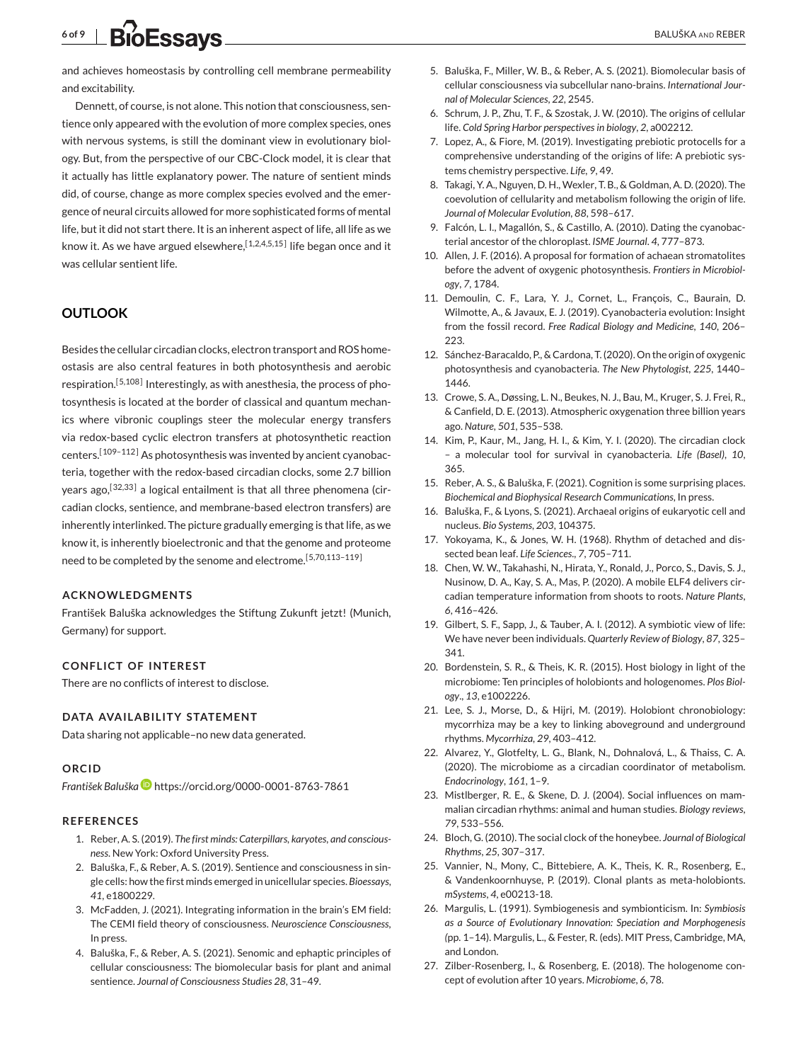# <span id="page-5-0"></span>**6 of 9** BALUŠKA AND REBER

and achieves homeostasis by controlling cell membrane permeability and excitability.

Dennett, of course, is not alone. This notion that consciousness, sentience only appeared with the evolution of more complex species, ones with nervous systems, is still the dominant view in evolutionary biology. But, from the perspective of our CBC-Clock model, it is clear that it actually has little explanatory power. The nature of sentient minds did, of course, change as more complex species evolved and the emergence of neural circuits allowed for more sophisticated forms of mental life, but it did not start there. It is an inherent aspect of life, all life as we know it. As we have argued elsewhere,  $[1,2,4,5,15]$  life began once and it was cellular sentient life.

## **OUTLOOK**

Besides the cellular circadian clocks, electron transport and ROS homeostasis are also central features in both photosynthesis and aerobic respiration.<sup>[5,108]</sup> Interestingly, as with anesthesia, the process of photosynthesis is located at the border of classical and quantum mechanics where vibronic couplings steer the molecular energy transfers via redox-based cyclic electron transfers at photosynthetic reaction centers.<sup>[109-112]</sup> As photosynthesis was invented by ancient cyanobacteria, together with the redox-based circadian clocks, some 2.7 billion years ago,<sup>[32,33]</sup> a logical entailment is that all three phenomena (circadian clocks, sentience, and membrane-based electron transfers) are inherently interlinked. The picture gradually emerging is that life, as we know it, is inherently bioelectronic and that the genome and proteome need to be completed by the senome and electrome.<sup>[5,70,113-119]</sup>

#### **ACKNOWLEDGMENTS**

František Baluška acknowledges the Stiftung Zukunft jetzt! (Munich, Germany) for support.

#### **CONFLICT OF INTEREST**

There are no conflicts of interest to disclose.

#### **DATA AVAILABILITY STATEMENT**

Data sharing not applicable–no new data generated.

### **ORCID**

*František Baluška* <https://orcid.org/0000-0001-8763-7861>

#### **REFERENCES**

- 1. Reber, A. S. (2019). *The first minds: Caterpillars, karyotes, and consciousness*. New York: Oxford University Press.
- 2. Baluška, F., & Reber, A. S. (2019). Sentience and consciousness in single cells: how the first minds emerged in unicellular species. *Bioessays*, *41*, e1800229.
- 3. McFadden, J. (2021). Integrating information in the brain's EM field: The CEMI field theory of consciousness. *Neuroscience Consciousness*, In press.
- 4. Baluška, F., & Reber, A. S. (2021). Senomic and ephaptic principles of cellular consciousness: The biomolecular basis for plant and animal sentience. *Journal of Consciousness Studies 28*, 31–49.
- 5. Baluška, F., Miller, W. B., & Reber, A. S. (2021). Biomolecular basis of cellular consciousness via subcellular nano-brains. *International Journal of Molecular Sciences*, *22*, 2545.
- 6. Schrum, J. P., Zhu, T. F., & Szostak, J. W. (2010). The origins of cellular life. *Cold Spring Harbor perspectives in biology*, *2*, a002212.
- 7. Lopez, A., & Fiore, M. (2019). Investigating prebiotic protocells for a comprehensive understanding of the origins of life: A prebiotic systems chemistry perspective. *Life*, *9*, 49.
- 8. Takagi, Y. A., Nguyen, D. H., Wexler, T. B., & Goldman, A. D. (2020). The coevolution of cellularity and metabolism following the origin of life. *Journal of Molecular Evolution*, *88*, 598–617.
- 9. Falcón, L. I., Magallón, S., & Castillo, A. (2010). Dating the cyanobacterial ancestor of the chloroplast. *ISME Journal*. *4*, 777–873.
- 10. Allen, J. F. (2016). A proposal for formation of achaean stromatolites before the advent of oxygenic photosynthesis. *Frontiers in Microbiology*, *7*, 1784.
- 11. Demoulin, C. F., Lara, Y. J., Cornet, L., François, C., Baurain, D. Wilmotte, A., & Javaux, E. J. (2019). Cyanobacteria evolution: Insight from the fossil record. *Free Radical Biology and Medicine*, *140*, 206– 223.
- 12. Sánchez-Baracaldo, P., & Cardona, T. (2020). On the origin of oxygenic photosynthesis and cyanobacteria. *The New Phytologist*, *225*, 1440– 1446.
- 13. Crowe, S. A., Døssing, L. N., Beukes, N. J., Bau, M., Kruger, S. J. Frei, R., & Canfield, D. E. (2013). Atmospheric oxygenation three billion years ago. *Nature*, *501*, 535–538.
- 14. Kim, P., Kaur, M., Jang, H. I., & Kim, Y. I. (2020). The circadian clock – a molecular tool for survival in cyanobacteria. *Life (Basel)*, *10*, 365.
- 15. Reber, A. S., & Baluška, F. (2021). Cognition is some surprising places. *Biochemical and Biophysical Research Communications*, In press.
- 16. Baluška, F., & Lyons, S. (2021). Archaeal origins of eukaryotic cell and nucleus. *Bio Systems*, *203*, 104375.
- 17. Yokoyama, K., & Jones, W. H. (1968). Rhythm of detached and dissected bean leaf. *Life Sciences*., *7*, 705–711.
- 18. Chen, W. W., Takahashi, N., Hirata, Y., Ronald, J., Porco, S., Davis, S. J., Nusinow, D. A., Kay, S. A., Mas, P. (2020). A mobile ELF4 delivers circadian temperature information from shoots to roots. *Nature Plants*, *6*, 416–426.
- 19. Gilbert, S. F., Sapp, J., & Tauber, A. I. (2012). A symbiotic view of life: We have never been individuals. *Quarterly Review of Biology*, *87*, 325– 341.
- 20. Bordenstein, S. R., & Theis, K. R. (2015). Host biology in light of the microbiome: Ten principles of holobionts and hologenomes. *Plos Biology*., *13*, e1002226.
- 21. Lee, S. J., Morse, D., & Hijri, M. (2019). Holobiont chronobiology: mycorrhiza may be a key to linking aboveground and underground rhythms. *Mycorrhiza*, *29*, 403–412.
- 22. Alvarez, Y., Glotfelty, L. G., Blank, N., Dohnalová, L., & Thaiss, C. A. (2020). The microbiome as a circadian coordinator of metabolism. *Endocrinology*, *161*, 1–9.
- 23. Mistlberger, R. E., & Skene, D. J. (2004). Social influences on mammalian circadian rhythms: animal and human studies. *Biology reviews*, *79*, 533–556.
- 24. Bloch, G. (2010). The social clock of the honeybee. *Journal of Biological Rhythms*, *25*, 307–317.
- 25. Vannier, N., Mony, C., Bittebiere, A. K., Theis, K. R., Rosenberg, E., & Vandenkoornhuyse, P. (2019). Clonal plants as meta-holobionts. *mSystems*, *4*, e00213-18.
- 26. Margulis, L. (1991). Symbiogenesis and symbionticism. In: *Symbiosis as a Source of Evolutionary Innovation: Speciation and Morphogenesis (*pp. 1–14). Margulis, L., & Fester, R. (eds). MIT Press, Cambridge, MA, and London.
- 27. Zilber-Rosenberg, I., & Rosenberg, E. (2018). The hologenome concept of evolution after 10 years. *Microbiome*, *6*, 78.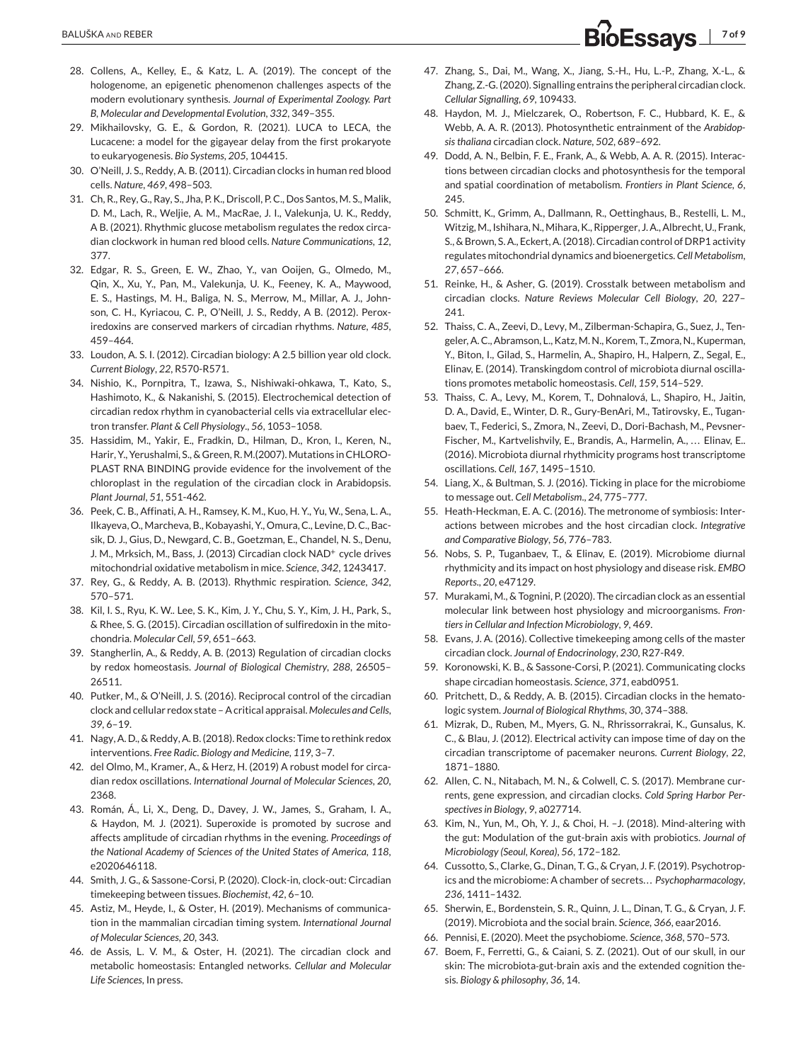- <span id="page-6-0"></span>28. Collens, A., Kelley, E., & Katz, L. A. (2019). The concept of the hologenome, an epigenetic phenomenon challenges aspects of the modern evolutionary synthesis. *Journal of Experimental Zoology. Part B, Molecular and Developmental Evolution*, *332*, 349–355.
- 29. Mikhailovsky, G. E., & Gordon, R. (2021). LUCA to LECA, the Lucacene: a model for the gigayear delay from the first prokaryote to eukaryogenesis. *Bio Systems*, *205*, 104415.
- 30. O'Neill, J. S., Reddy, A. B. (2011). Circadian clocks in human red blood cells. *Nature*, *469*, 498–503.
- 31. Ch, R., Rey, G., Ray, S., Jha, P. K., Driscoll, P. C., Dos Santos, M. S., Malik, D. M., Lach, R., Weljie, A. M., MacRae, J. I., Valekunja, U. K., Reddy, A B. (2021). Rhythmic glucose metabolism regulates the redox circadian clockwork in human red blood cells. *Nature Communications*, *12*, 377.
- 32. Edgar, R. S., Green, E. W., Zhao, Y., van Ooijen, G., Olmedo, M., Qin, X., Xu, Y., Pan, M., Valekunja, U. K., Feeney, K. A., Maywood, E. S., Hastings, M. H., Baliga, N. S., Merrow, M., Millar, A. J., Johnson, C. H., Kyriacou, C. P., O'Neill, J. S., Reddy, A B. (2012). Peroxiredoxins are conserved markers of circadian rhythms. *Nature*, *485*, 459–464.
- 33. Loudon, A. S. I. (2012). Circadian biology: A 2.5 billion year old clock. *Current Biology*, *22*, R570-R571.
- 34. Nishio, K., Pornpitra, T., Izawa, S., Nishiwaki-ohkawa, T., Kato, S., Hashimoto, K., & Nakanishi, S. (2015). Electrochemical detection of circadian redox rhythm in cyanobacterial cells via extracellular electron transfer. *Plant & Cell Physiology*., *56*, 1053–1058.
- 35. Hassidim, M., Yakir, E., Fradkin, D., Hilman, D., Kron, I., Keren, N., Harir, Y., Yerushalmi, S., & Green, R. M. (2007). Mutations in CHLORO-PLAST RNA BINDING provide evidence for the involvement of the chloroplast in the regulation of the circadian clock in Arabidopsis. *Plant Journal*, *51*, 551-462.
- 36. Peek, C. B., Affinati, A. H., Ramsey, K. M., Kuo, H. Y., Yu, W., Sena, L. A., Ilkayeva, O., Marcheva, B., Kobayashi, Y., Omura, C., Levine, D. C., Bacsik, D. J., Gius, D., Newgard, C. B., Goetzman, E., Chandel, N. S., Denu, J. M., Mrksich, M., Bass, J. (2013) Circadian clock NAD<sup>+</sup> cycle drives mitochondrial oxidative metabolism in mice. *Science*, *342*, 1243417.
- 37. Rey, G., & Reddy, A. B. (2013). Rhythmic respiration. *Science*, *342*, 570–571.
- 38. Kil, I. S., Ryu, K. W.. Lee, S. K., Kim, J. Y., Chu, S. Y., Kim, J. H., Park, S., & Rhee, S. G. (2015). Circadian oscillation of sulfiredoxin in the mitochondria. *Molecular Cell*, *59*, 651–663.
- 39. Stangherlin, A., & Reddy, A. B. (2013) Regulation of circadian clocks by redox homeostasis. *Journal of Biological Chemistry*, *288*, 26505– 26511.
- 40. Putker, M., & O'Neill, J. S. (2016). Reciprocal control of the circadian clock and cellular redox state – A critical appraisal. *Molecules and Cells*, *39*, 6–19.
- 41. Nagy, A. D., & Reddy, A. B. (2018). Redox clocks: Time to rethink redox interventions. *Free Radic*. *Biology and Medicine*, *119*, 3–7.
- 42. del Olmo, M., Kramer, A., & Herz, H. (2019) A robust model for circadian redox oscillations. *International Journal of Molecular Sciences*, *20*, 2368.
- 43. Román, Á., Li, X., Deng, D., Davey, J. W., James, S., Graham, I. A., & Haydon, M. J. (2021). Superoxide is promoted by sucrose and affects amplitude of circadian rhythms in the evening. *Proceedings of the National Academy of Sciences of the United States of America*, *118*, e2020646118.
- 44. Smith, J. G., & Sassone-Corsi, P. (2020). Clock-in, clock-out: Circadian timekeeping between tissues. *Biochemist*, *42*, 6–10.
- 45. Astiz, M., Heyde, I., & Oster, H. (2019). Mechanisms of communication in the mammalian circadian timing system. *International Journal of Molecular Sciences*, *20*, 343.
- 46. de Assis, L. V. M., & Oster, H. (2021). The circadian clock and metabolic homeostasis: Entangled networks. *Cellular and Molecular Life Sciences*, In press.
- 47. Zhang, S., Dai, M., Wang, X., Jiang, S.-H., Hu, L.-P., Zhang, X.-L., & Zhang, Z.-G. (2020). Signalling entrains the peripheral circadian clock. *Cellular Signalling*, *69*, 109433.
- 48. Haydon, M. J., Mielczarek, O., Robertson, F. C., Hubbard, K. E., & Webb, A. A. R. (2013). Photosynthetic entrainment of the *Arabidopsis thaliana* circadian clock. *Nature*, *502*, 689–692.
- 49. Dodd, A. N., Belbin, F. E., Frank, A., & Webb, A. A. R. (2015). Interactions between circadian clocks and photosynthesis for the temporal and spatial coordination of metabolism. *Frontiers in Plant Science*, *6*, 245.
- 50. Schmitt, K., Grimm, A., Dallmann, R., Oettinghaus, B., Restelli, L. M., Witzig, M., Ishihara, N., Mihara, K., Ripperger, J. A., Albrecht, U., Frank, S., & Brown, S. A., Eckert, A. (2018). Circadian control of DRP1 activity regulates mitochondrial dynamics and bioenergetics. *Cell Metabolism*, *27*, 657–666.
- 51. Reinke, H., & Asher, G. (2019). Crosstalk between metabolism and circadian clocks. *Nature Reviews Molecular Cell Biology*, *20*, 227– 241.
- 52. Thaiss, C. A., Zeevi, D., Levy, M., Zilberman-Schapira, G., Suez, J., Tengeler, A. C., Abramson, L., Katz, M. N., Korem, T., Zmora, N., Kuperman, Y., Biton, I., Gilad, S., Harmelin, A., Shapiro, H., Halpern, Z., Segal, E., Elinav, E. (2014). Transkingdom control of microbiota diurnal oscillations promotes metabolic homeostasis. *Cell*, *159*, 514–529.
- 53. Thaiss, C. A., Levy, M., Korem, T., Dohnalová, L., Shapiro, H., Jaitin, D. A., David, E., Winter, D. R., Gury-BenAri, M., Tatirovsky, E., Tuganbaev, T., Federici, S., Zmora, N., Zeevi, D., Dori-Bachash, M., Pevsner-Fischer, M., Kartvelishvily, E., Brandis, A., Harmelin, A., ... Elinav, E.. (2016). Microbiota diurnal rhythmicity programs host transcriptome oscillations. *Cell*, *167*, 1495–1510.
- 54. Liang, X., & Bultman, S. J. (2016). Ticking in place for the microbiome to message out. *Cell Metabolism*., *24*, 775–777.
- 55. Heath-Heckman, E. A. C. (2016). The metronome of symbiosis: Interactions between microbes and the host circadian clock. *Integrative and Comparative Biology*, *56*, 776–783.
- 56. Nobs, S. P., Tuganbaev, T., & Elinav, E. (2019). Microbiome diurnal rhythmicity and its impact on host physiology and disease risk. *EMBO Reports*., *20*, e47129.
- 57. Murakami, M., & Tognini, P. (2020). The circadian clock as an essential molecular link between host physiology and microorganisms. *Frontiers in Cellular and Infection Microbiology*, *9*, 469.
- 58. Evans, J. A. (2016). Collective timekeeping among cells of the master circadian clock. *Journal of Endocrinology*, *230*, R27-R49.
- 59. Koronowski, K. B., & Sassone-Corsi, P. (2021). Communicating clocks shape circadian homeostasis. *Science*, *371*, eabd0951.
- 60. Pritchett, D., & Reddy, A. B. (2015). Circadian clocks in the hematologic system. *Journal of Biological Rhythms*, *30*, 374–388.
- 61. Mizrak, D., Ruben, M., Myers, G. N., Rhrissorrakrai, K., Gunsalus, K. C., & Blau, J. (2012). Electrical activity can impose time of day on the circadian transcriptome of pacemaker neurons. *Current Biology*, *22*, 1871–1880.
- 62. Allen, C. N., Nitabach, M. N., & Colwell, C. S. (2017). Membrane currents, gene expression, and circadian clocks. *Cold Spring Harbor Perspectives in Biology*, *9*, a027714.
- 63. Kim, N., Yun, M., Oh, Y. J., & Choi, H. –J. (2018). Mind-altering with the gut: Modulation of the gut-brain axis with probiotics. *Journal of Microbiology (Seoul, Korea)*, *56*, 172–182.
- 64. Cussotto, S., Clarke, G., Dinan, T. G., & Cryan, J. F. (2019). Psychotropics and the microbiome: A chamber of secrets. . . *Psychopharmacology*, *236*, 1411–1432.
- 65. Sherwin, E., Bordenstein, S. R., Quinn, J. L., Dinan, T. G., & Cryan, J. F. (2019). Microbiota and the social brain. *Science*, *366*, eaar2016.
- 66. Pennisi, E. (2020). Meet the psychobiome. *Science*, *368*, 570–573.
- 67. Boem, F., Ferretti, G., & Caiani, S. Z. (2021). Out of our skull, in our skin: The microbiota-gut-brain axis and the extended cognition thesis. *Biology & philosophy*, *36*, 14.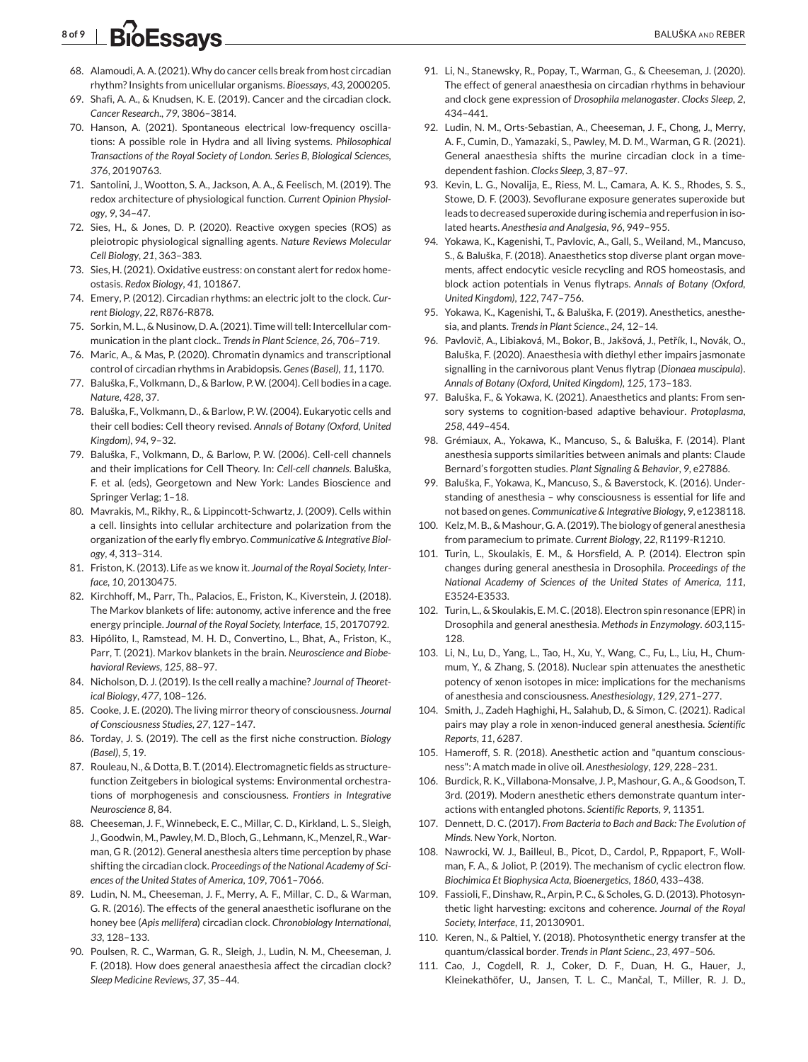# <span id="page-7-0"></span>8 of 9 BIOESSAVS **BALUŠKA AND REBER**

- 68. Alamoudi, A. A. (2021).Why do cancer cells break from host circadian rhythm? Insights from unicellular organisms. *Bioessays*, *43*, 2000205.
- 69. Shafi, A. A., & Knudsen, K. E. (2019). Cancer and the circadian clock. *Cancer Research*., *79*, 3806–3814.
- 70. Hanson, A. (2021). Spontaneous electrical low-frequency oscillations: A possible role in Hydra and all living systems. *Philosophical Transactions of the Royal Society of London. Series B, Biological Sciences*, *376*, 20190763.
- 71. Santolini, J., Wootton, S. A., Jackson, A. A., & Feelisch, M. (2019). The redox architecture of physiological function. *Current Opinion Physiology*, *9*, 34–47.
- 72. Sies, H., & Jones, D. P. (2020). Reactive oxygen species (ROS) as pleiotropic physiological signalling agents. *Nature Reviews Molecular Cell Biology*, *21*, 363–383.
- 73. Sies, H. (2021). Oxidative eustress: on constant alert for redox homeostasis. *Redox Biology*, *41*, 101867.
- 74. Emery, P. (2012). Circadian rhythms: an electric jolt to the clock. *Current Biology*, *22*, R876-R878.
- 75. Sorkin, M. L., & Nusinow, D. A. (2021). Time will tell: Intercellular communication in the plant clock.. *Trends in Plant Science*, *26*, 706–719.
- 76. Maric, A., & Mas, P. (2020). Chromatin dynamics and transcriptional control of circadian rhythms in Arabidopsis. *Genes (Basel)*, *11*, 1170.
- 77. Baluška, F., Volkmann, D., & Barlow, P.W. (2004). Cell bodies in a cage. *Nature*, *428*, 37.
- 78. Baluška, F., Volkmann, D., & Barlow, P. W. (2004). Eukaryotic cells and their cell bodies: Cell theory revised. *Annals of Botany (Oxford, United Kingdom)*, *94*, 9–32.
- 79. Baluška, F., Volkmann, D., & Barlow, P. W. (2006). Cell-cell channels and their implications for Cell Theory. In: *Cell-cell channels*. Baluška, F. et al. (eds), Georgetown and New York: Landes Bioscience and Springer Verlag; 1–18.
- 80. Mavrakis, M., Rikhy, R., & Lippincott-Schwartz, J. (2009). Cells within a cell. Iinsights into cellular architecture and polarization from the organization of the early fly embryo. *Communicative & Integrative Biology*, *4*, 313–314.
- 81. Friston, K. (2013). Life as we know it. *Journal of the Royal Society, Interface*, *10*, 20130475.
- 82. Kirchhoff, M., Parr, Th., Palacios, E., Friston, K., Kiverstein, J. (2018). The Markov blankets of life: autonomy, active inference and the free energy principle. *Journal of the Royal Society, Interface*, *15*, 20170792.
- 83. Hipólito, I., Ramstead, M. H. D., Convertino, L., Bhat, A., Friston, K., Parr, T. (2021). Markov blankets in the brain. *Neuroscience and Biobehavioral Reviews*, *125*, 88–97.
- 84. Nicholson, D. J. (2019). Is the cell really a machine? *Journal of Theoretical Biology*, *477*, 108–126.
- 85. Cooke, J. E. (2020). The living mirror theory of consciousness. *Journal of Consciousness Studies*, *27*, 127–147.
- 86. Torday, J. S. (2019). The cell as the first niche construction. *Biology (Basel)*, *5*, 19.
- 87. Rouleau, N., & Dotta, B. T. (2014). Electromagnetic fields as structurefunction Zeitgebers in biological systems: Environmental orchestrations of morphogenesis and consciousness. *Frontiers in Integrative Neuroscience 8*, 84.
- 88. Cheeseman, J. F., Winnebeck, E. C., Millar, C. D., Kirkland, L. S., Sleigh, J., Goodwin, M., Pawley, M. D., Bloch, G., Lehmann, K., Menzel, R., Warman, G R. (2012). General anesthesia alters time perception by phase shifting the circadian clock. *Proceedings of the National Academy of Sciences of the United States of America*, *109*, 7061–7066.
- 89. Ludin, N. M., Cheeseman, J. F., Merry, A. F., Millar, C. D., & Warman, G. R. (2016). The effects of the general anaesthetic isoflurane on the honey bee (*Apis mellifera*) circadian clock. *Chronobiology International*, *33*, 128–133.
- 90. Poulsen, R. C., Warman, G. R., Sleigh, J., Ludin, N. M., Cheeseman, J. F. (2018). How does general anaesthesia affect the circadian clock? *Sleep Medicine Reviews*, *37*, 35–44.
- 91. Li, N., Stanewsky, R., Popay, T., Warman, G., & Cheeseman, J. (2020). The effect of general anaesthesia on circadian rhythms in behaviour and clock gene expression of *Drosophila melanogaster*. *Clocks Sleep*, *2*, 434–441.
- 92. Ludin, N. M., Orts-Sebastian, A., Cheeseman, J. F., Chong, J., Merry, A. F., Cumin, D., Yamazaki, S., Pawley, M. D. M., Warman, G R. (2021). General anaesthesia shifts the murine circadian clock in a timedependent fashion. *Clocks Sleep*, *3*, 87–97.
- 93. Kevin, L. G., Novalija, E., Riess, M. L., Camara, A. K. S., Rhodes, S. S., Stowe, D. F. (2003). Sevoflurane exposure generates superoxide but leads to decreased superoxide during ischemia and reperfusion in isolated hearts. *Anesthesia and Analgesia*, *96*, 949–955.
- 94. Yokawa, K., Kagenishi, T., Pavlovic, A., Gall, S., Weiland, M., Mancuso, S., & Baluška, F. (2018). Anaesthetics stop diverse plant organ movements, affect endocytic vesicle recycling and ROS homeostasis, and block action potentials in Venus flytraps. *Annals of Botany (Oxford, United Kingdom)*, *122*, 747–756.
- 95. Yokawa, K., Kagenishi, T., & Baluška, F. (2019). Anesthetics, anesthesia, and plants. *Trends in Plant Science*., *24*, 12–14.
- 96. Pavlovič, A., Libiaková, M., Bokor, B., Jakšová, J., Petřík, I., Novák, O., Baluška, F. (2020). Anaesthesia with diethyl ether impairs jasmonate signalling in the carnivorous plant Venus flytrap (*Dionaea muscipula*). *Annals of Botany (Oxford, United Kingdom)*, *125*, 173–183.
- 97. Baluška, F., & Yokawa, K. (2021). Anaesthetics and plants: From sensory systems to cognition-based adaptive behaviour. *Protoplasma*, *258*, 449–454.
- 98. Grémiaux, A., Yokawa, K., Mancuso, S., & Baluška, F. (2014). Plant anesthesia supports similarities between animals and plants: Claude Bernard's forgotten studies. *Plant Signaling & Behavior*, *9*, e27886.
- 99. Baluška, F., Yokawa, K., Mancuso, S., & Baverstock, K. (2016). Understanding of anesthesia – why consciousness is essential for life and not based on genes. *Communicative & Integrative Biology*, *9*, e1238118.
- 100. Kelz, M. B., & Mashour, G. A. (2019). The biology of general anesthesia from paramecium to primate. *Current Biology*, *22*, R1199-R1210.
- 101. Turin, L., Skoulakis, E. M., & Horsfield, A. P. (2014). Electron spin changes during general anesthesia in Drosophila. *Proceedings of the National Academy of Sciences of the United States of America*, *111*, E3524-E3533.
- 102. Turin, L., & Skoulakis, E. M. C. (2018). Electron spin resonance (EPR) in Drosophila and general anesthesia. *Methods in Enzymology*. *603*,115- 128.
- 103. Li, N., Lu, D., Yang, L., Tao, H., Xu, Y., Wang, C., Fu, L., Liu, H., Chummum, Y., & Zhang, S. (2018). Nuclear spin attenuates the anesthetic potency of xenon isotopes in mice: implications for the mechanisms of anesthesia and consciousness. *Anesthesiology*, *129*, 271–277.
- 104. Smith, J., Zadeh Haghighi, H., Salahub, D., & Simon, C. (2021). Radical pairs may play a role in xenon-induced general anesthesia. *Scientific Reports*, *11*, 6287.
- 105. Hameroff, S. R. (2018). Anesthetic action and "quantum consciousness": A match made in olive oil. *Anesthesiology*, *129*, 228–231.
- 106. Burdick, R. K., Villabona-Monsalve, J. P., Mashour, G. A., & Goodson, T. 3rd. (2019). Modern anesthetic ethers demonstrate quantum interactions with entangled photons. *Scientific Reports*, *9*, 11351.
- 107. Dennett, D. C. (2017). *From Bacteria to Bach and Back: The Evolution of Minds*. New York, Norton.
- 108. Nawrocki, W. J., Bailleul, B., Picot, D., Cardol, P., Rppaport, F., Wollman, F. A., & Joliot, P. (2019). The mechanism of cyclic electron flow. *Biochimica Et Biophysica Acta, Bioenergetics*, *1860*, 433–438.
- 109. Fassioli, F., Dinshaw, R., Arpin, P. C., & Scholes, G. D. (2013). Photosynthetic light harvesting: excitons and coherence. *Journal of the Royal Society, Interface*, *11*, 20130901.
- 110. Keren, N., & Paltiel, Y. (2018). Photosynthetic energy transfer at the quantum/classical border. *Trends in Plant Scienc*., *23*, 497–506.
- 111. Cao, J., Cogdell, R. J., Coker, D. F., Duan, H. G., Hauer, J., Kleinekathöfer, U., Jansen, T. L. C., Mančal, T., Miller, R. J. D.,